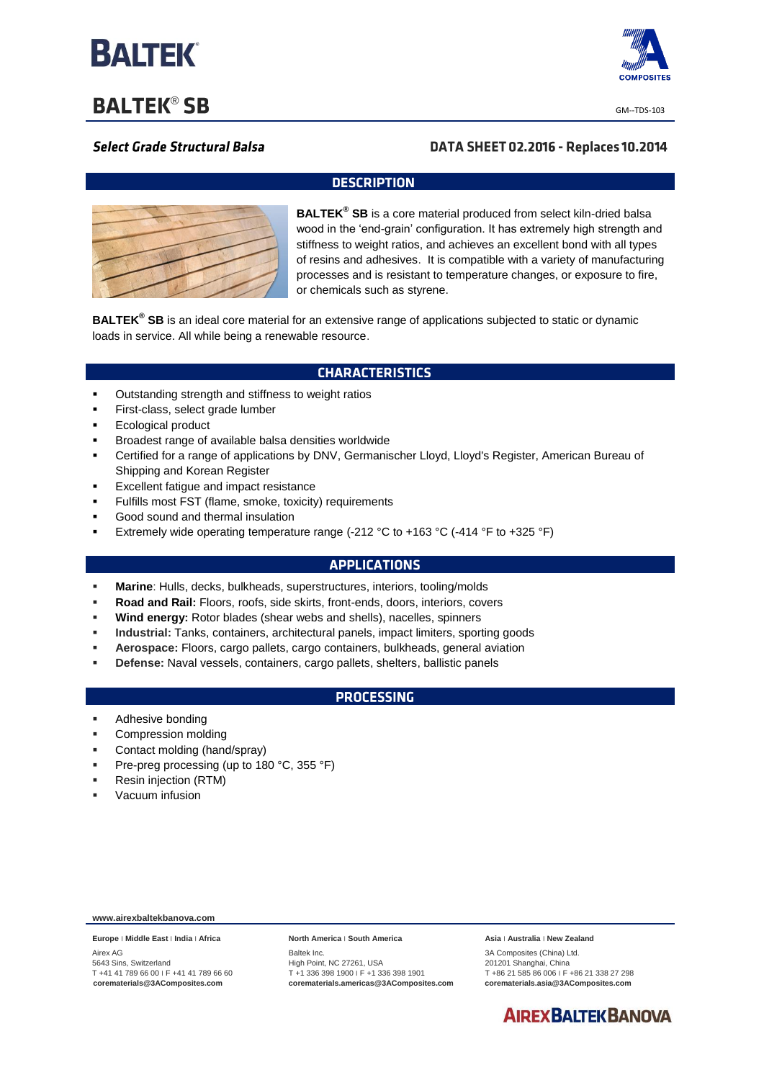

**BALTEK® SB** 



GM--TDS-103

## **Select Grade Structural Balsa**

## DATA SHEET 02.2016 - Replaces 10.2014

#### **DESCRIPTION**



**BALTEK® SB** is a core material produced from select kiln-dried balsa wood in the 'end-grain' configuration. It has extremely high strength and stiffness to weight ratios, and achieves an excellent bond with all types of resins and adhesives. It is compatible with a variety of manufacturing processes and is resistant to temperature changes, or exposure to fire, or chemicals such as styrene.

**BALTEK® SB** is an ideal core material for an extensive range of applications subjected to static or dynamic loads in service. All while being a renewable resource.

#### **CHARACTERISTICS**

- **•** Outstanding strength and stiffness to weight ratios
- First-class, select grade lumber
- Ecological product
- Broadest range of available balsa densities worldwide
- Certified for a range of applications by DNV, Germanischer Lloyd, Lloyd's Register, American Bureau of Shipping and Korean Register
- Excellent fatigue and impact resistance
- Fulfills most FST (flame, smoke, toxicity) requirements
- Good sound and thermal insulation
- Extremely wide operating temperature range (-212 °C to +163 °C (-414 °F to +325 °F)

### **APPLICATIONS**

- **Marine**: Hulls, decks, bulkheads, superstructures, interiors, tooling/molds
- **Road and Rail:** Floors, roofs, side skirts, front-ends, doors, interiors, covers
- **Wind energy:** Rotor blades (shear webs and shells), nacelles, spinners
- **Industrial:** Tanks, containers, architectural panels, impact limiters, sporting goods
- **Aerospace:** Floors, cargo pallets, cargo containers, bulkheads, general aviation
- **Defense:** Naval vessels, containers, cargo pallets, shelters, ballistic panels

#### **PROCESSING**

- **Adhesive bonding**
- Compression molding
- Contact molding (hand/spray)
- Pre-preg processing (up to 180 °C, 355 °F)
- Resin injection (RTM)
- Vacuum infusion

**www.airexbaltekbanova.com**

**Europe** ׀ **Middle East** ׀ **India** ׀ **Africa** Airex AG 5643 Sins, Switzerland T +41 41 789 66 00 ׀ F +41 41 789 66 60 **corematerials@3AComposites.com**

**North America** ׀ **South America**

Baltek Inc. High Point, NC 27261, USA T +1 336 398 1900 ׀ F +1 336 398 1901 **corematerials.americas@3AComposites.com** **Asia** ׀ **Australia** ׀ **New Zealand**

3A Composites (China) Ltd. 201201 Shanghai, China T +86 21 585 86 006 ׀ F +86 21 338 27 298 **corematerials.asia@3AComposites.com**

# **AIREX BALTEK BANOVA**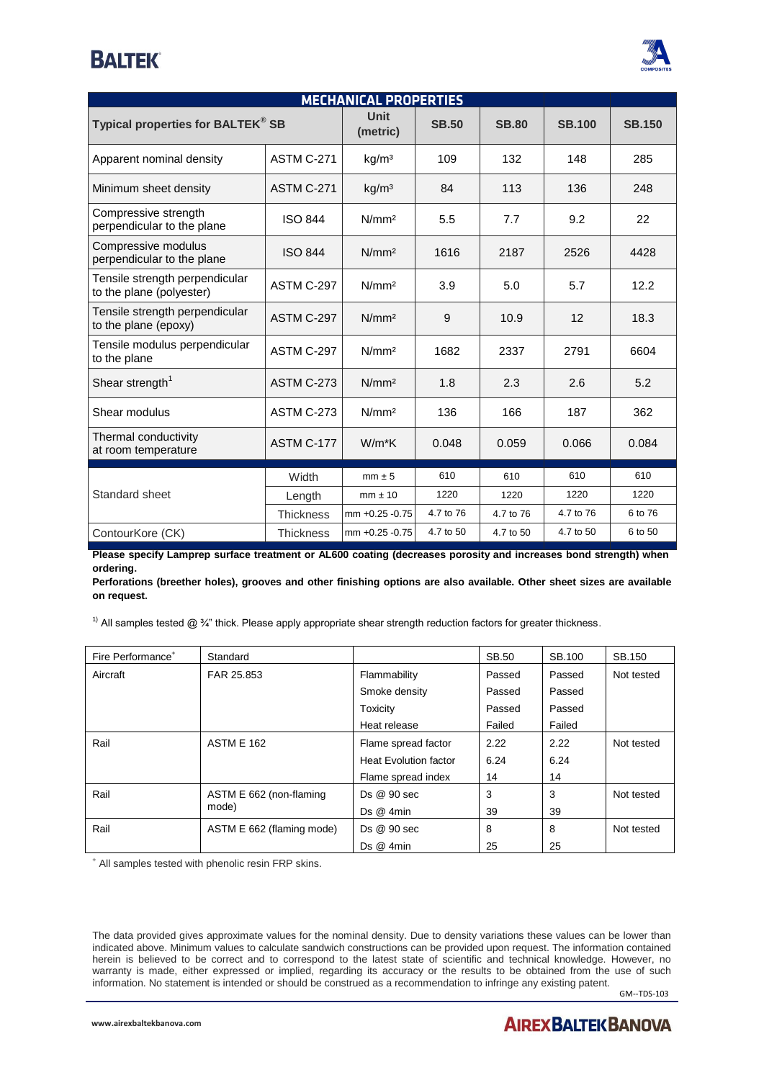# **BALTEK**



| <b>MECHANICAL PROPERTIES</b>                               |                   |                   |              |              |               |               |  |
|------------------------------------------------------------|-------------------|-------------------|--------------|--------------|---------------|---------------|--|
| Typical properties for BALTEK® SB                          |                   | Unit<br>(metric)  | <b>SB.50</b> | <b>SB.80</b> | <b>SB.100</b> | <b>SB.150</b> |  |
| Apparent nominal density                                   | <b>ASTM C-271</b> | kg/m <sup>3</sup> | 109          | 132          | 148           | 285           |  |
| Minimum sheet density                                      | <b>ASTM C-271</b> | kg/m <sup>3</sup> | 84           | 113          | 136           | 248           |  |
| Compressive strength<br>perpendicular to the plane         | <b>ISO 844</b>    | N/mm <sup>2</sup> | 5.5          | 7.7          | 9.2           | 22            |  |
| Compressive modulus<br>perpendicular to the plane          | <b>ISO 844</b>    | N/mm <sup>2</sup> | 1616         | 2187         | 2526          | 4428          |  |
| Tensile strength perpendicular<br>to the plane (polyester) | ASTM C-297        | N/mm <sup>2</sup> | 3.9          | 5.0          | 5.7           | 12.2          |  |
| Tensile strength perpendicular<br>to the plane (epoxy)     | ASTM C-297        | N/mm <sup>2</sup> | 9            | 10.9         | 12            | 18.3          |  |
| Tensile modulus perpendicular<br>to the plane              | ASTM C-297        | N/mm <sup>2</sup> | 1682         | 2337         | 2791          | 6604          |  |
| Shear strength <sup>1</sup>                                | <b>ASTM C-273</b> | N/mm <sup>2</sup> | 1.8          | 2.3          | 2.6           | 5.2           |  |
| Shear modulus                                              | <b>ASTM C-273</b> | N/mm <sup>2</sup> | 136          | 166          | 187           | 362           |  |
| Thermal conductivity<br>at room temperature                | ASTM C-177        | $W/m*K$           | 0.048        | 0.059        | 0.066         | 0.084         |  |
| Standard sheet                                             | Width             | $mm \pm 5$        | 610          | 610          | 610           | 610           |  |
|                                                            | Length            | $mm \pm 10$       | 1220         | 1220         | 1220          | 1220          |  |
|                                                            | <b>Thickness</b>  | mm +0.25 -0.75    | 4.7 to 76    | 4.7 to 76    | 4.7 to 76     | 6 to 76       |  |
| ContourKore (CK)                                           | <b>Thickness</b>  | mm +0.25 -0.75    | 4.7 to 50    | 4.7 to 50    | 4.7 to 50     | 6 to 50       |  |

**Please specify Lamprep surface treatment or AL600 coating (decreases porosity and increases bond strength) when ordering.**

**Perforations (breether holes), grooves and other finishing options are also available. Other sheet sizes are available on request.**

<sup>1)</sup> All samples tested @  $\frac{3}{4}$ " thick. Please apply appropriate shear strength reduction factors for greater thickness.

| Fire Performance <sup>+</sup> | Standard                         |                              | <b>SB.50</b> | SB.100 | SB.150     |
|-------------------------------|----------------------------------|------------------------------|--------------|--------|------------|
| Aircraft                      | FAR 25.853                       | Flammability                 | Passed       | Passed | Not tested |
|                               |                                  | Smoke density                | Passed       | Passed |            |
|                               |                                  | Toxicity                     | Passed       | Passed |            |
|                               |                                  | Heat release                 | Failed       | Failed |            |
| Rail                          | <b>ASTM E 162</b>                | Flame spread factor          | 2.22         | 2.22   | Not tested |
|                               |                                  | <b>Heat Evolution factor</b> | 6.24         | 6.24   |            |
|                               |                                  | Flame spread index           | 14           | 14     |            |
| Rail                          | ASTM E 662 (non-flaming<br>mode) | Ds @ 90 sec                  | 3            | 3      | Not tested |
|                               |                                  | Ds@4min                      | 39           | 39     |            |
| Rail                          | ASTM E 662 (flaming mode)        | Ds @ 90 sec                  | 8            | 8      | Not tested |
|                               |                                  | Ds@4min                      | 25           | 25     |            |

<sup>+</sup> All samples tested with phenolic resin FRP skins.

The data provided gives approximate values for the nominal density. Due to density variations these values can be lower than indicated above. Minimum values to calculate sandwich constructions can be provided upon request. The information contained herein is believed to be correct and to correspond to the latest state of scientific and technical knowledge. However, no warranty is made, either expressed or implied, regarding its accuracy or the results to be obtained from the use of such information. No statement is intended or should be construed as a recommendation to infringe any existing patent.

GM--TDS-103